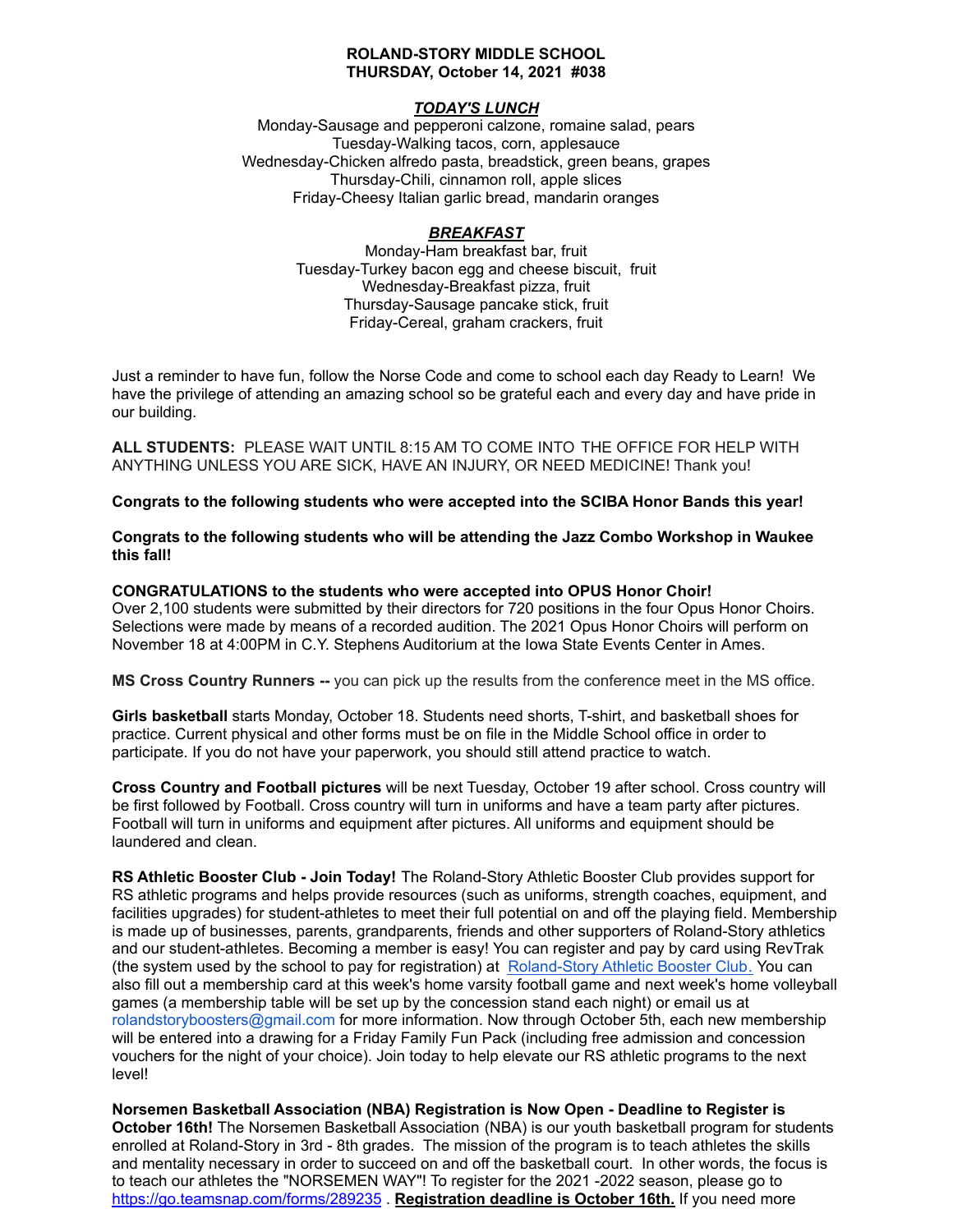## **ROLAND-STORY MIDDLE SCHOOL THURSDAY, October 14, 2021 #038**

# *TODAY'S LUNCH*

Monday-Sausage and pepperoni calzone, romaine salad, pears Tuesday-Walking tacos, corn, applesauce Wednesday-Chicken alfredo pasta, breadstick, green beans, grapes Thursday-Chili, cinnamon roll, apple slices Friday-Cheesy Italian garlic bread, mandarin oranges

# *BREAKFAST*

Monday-Ham breakfast bar, fruit Tuesday-Turkey bacon egg and cheese biscuit, fruit Wednesday-Breakfast pizza, fruit Thursday-Sausage pancake stick, fruit Friday-Cereal, graham crackers, fruit

Just a reminder to have fun, follow the Norse Code and come to school each day Ready to Learn! We have the privilege of attending an amazing school so be grateful each and every day and have pride in our building.

**ALL STUDENTS:** PLEASE WAIT UNTIL 8:15 AM TO COME INTO THE OFFICE FOR HELP WITH ANYTHING UNLESS YOU ARE SICK, HAVE AN INJURY, OR NEED MEDICINE! Thank you!

**Congrats to the following students who were accepted into the SCIBA Honor Bands this year!**

**Congrats to the following students who will be attending the Jazz Combo Workshop in Waukee this fall!**

#### **CONGRATULATIONS to the students who were accepted into OPUS Honor Choir!**

Over 2,100 students were submitted by their directors for 720 positions in the four Opus Honor Choirs. Selections were made by means of a recorded audition. The 2021 Opus Honor Choirs will perform on November 18 at 4:00PM in C.Y. Stephens Auditorium at the Iowa State Events Center in Ames.

**MS Cross Country Runners --** you can pick up the results from the conference meet in the MS office.

**Girls basketball** starts Monday, October 18. Students need shorts, T-shirt, and basketball shoes for practice. Current physical and other forms must be on file in the Middle School office in order to participate. If you do not have your paperwork, you should still attend practice to watch.

**Cross Country and Football pictures** will be next Tuesday, October 19 after school. Cross country will be first followed by Football. Cross country will turn in uniforms and have a team party after pictures. Football will turn in uniforms and equipment after pictures. All uniforms and equipment should be laundered and clean.

**RS Athletic Booster Club - Join Today!** The Roland-Story Athletic Booster Club provides support for RS athletic programs and helps provide resources (such as uniforms, strength coaches, equipment, and facilities upgrades) for student-athletes to meet their full potential on and off the playing field. Membership is made up of businesses, parents, grandparents, friends and other supporters of Roland-Story athletics and our student-athletes. Becoming a member is easy! You can register and pay by card using RevTrak (the system used by the school to pay for registration) at [Roland-Story](https://rolandstory.revtrak.net/Roland-Story-Athletic-Booster-Club/) Athletic Booster Club. You can also fill out a membership card at this week's home varsity football game and next week's home volleyball games (a membership table will be set up by the concession stand each night) or email us at rolandstoryboosters@gmail.com for more information. Now through October 5th, each new membership will be entered into a drawing for a Friday Family Fun Pack (including free admission and concession vouchers for the night of your choice). Join today to help elevate our RS athletic programs to the next level!

**Norsemen Basketball Association (NBA) Registration is Now Open - Deadline to Register is October 16th!** The Norsemen Basketball Association (NBA) is our youth basketball program for students enrolled at Roland-Story in 3rd - 8th grades. The mission of the program is to teach athletes the skills and mentality necessary in order to succeed on and off the basketball court. In other words, the focus is to teach our athletes the "NORSEMEN WAY"! To register for the 2021 -2022 season, please go to <https://go.teamsnap.com/forms/289235> . **Registration deadline is October 16th.** If you need more